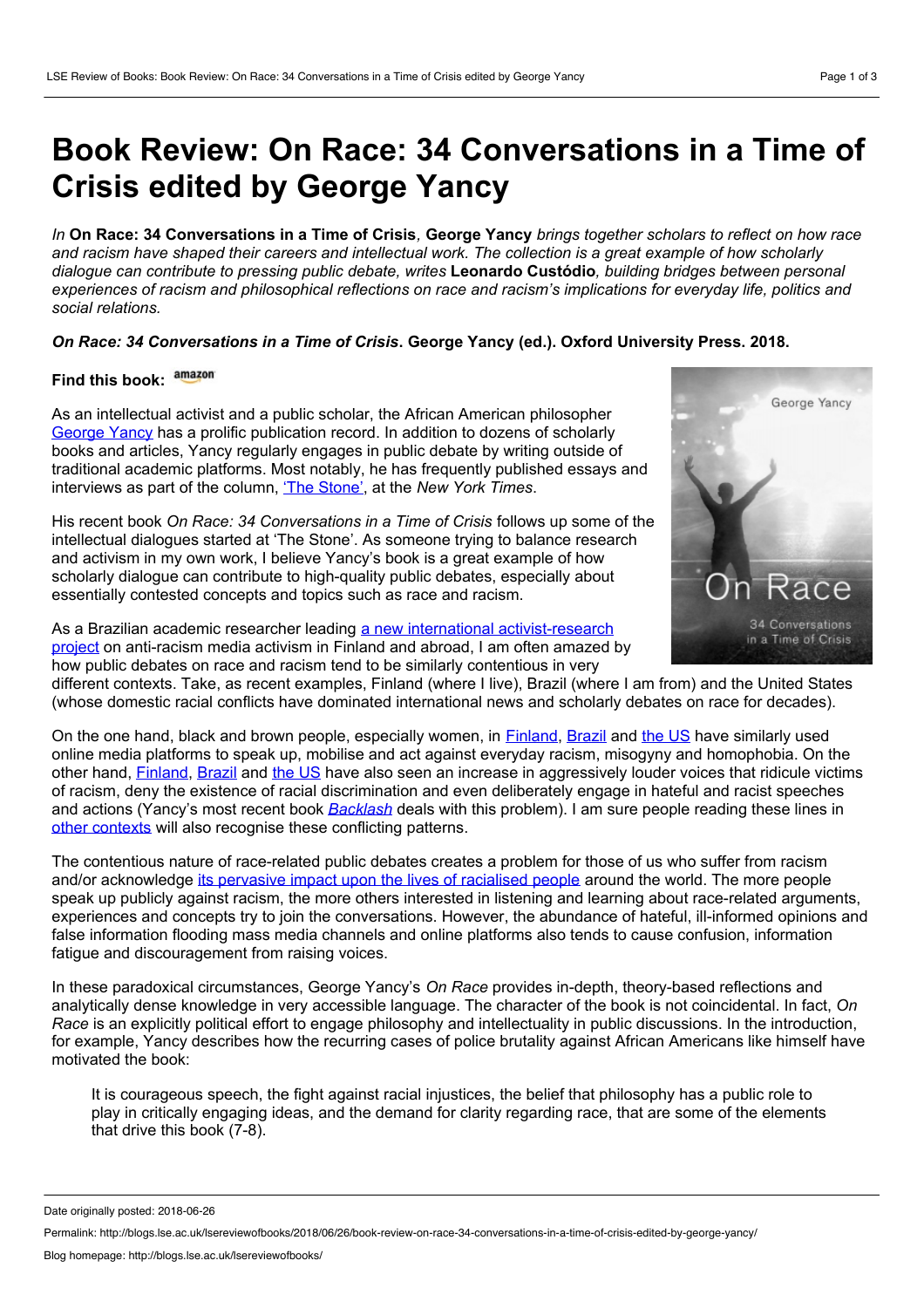## **Book Review: On Race: 34 Conversations in a Time of Crisis edited by George Yancy**

In On Race: 34 Conversations in a Time of Crisis. George Yancy brings together scholars to reflect on how race and racism have shaped their careers and intellectual work. The collection is a great example of how scholarly *dialogue can contribute to pressing public debate, writes* **Leonardo Custódio***, building bridges between personal experiences of racism andphilosophical reflections on race and racism's implications for everyday life, politics and social relations.*

## *On Race: 34 Conversations in a Time of Crisis***. George Yancy (ed.). Oxford University Press. 2018.**

## **Find this book:**

As an intellectual activist and a public scholar, the African American philosopher [George](http://philosophy.emory.edu/home/people/faculty/yancy-george.html) Yancy has a prolific publication record. In addition to dozens of scholarly books and articles, Yancy regularly engages in public debate by writing outside of traditional academic platforms. Most notably, he has frequently published essays and interviews as part of the column, 'The [Stone'](https://www.nytimes.com/column/the-stone), at the *New York Times*.

His recent book *On Race: 34 Conversations in a Time of Crisis* follows up some of the intellectual dialogues started at 'The Stone'. As someone trying to balance research and activism in my own work, I believe Yancy's book is a great example of how scholarly dialogue can contribute to high-quality public debates, especially about essentially contested concepts and topics such as race and racism.

As a Brazilian academic researcher leading a new international [activist-research](https://vimeo.com/246304571) project on anti-racism media activism in Finland and abroad, I am often amazed by how public debates on race and racism tend to be similarly contentious in very



different contexts. Take, as recent examples, Finland (where I live), Brazil (where I am from) and the United States (whose domestic racial conflicts have dominated international news and scholarly debates on race for decades).

On the one hand, black and brown people, especially women, in [Finland](https://www.ruskeattytot.fi/about-us/), [Brazil](http://theconversation.com/beyond-metoo-brazilian-women-rise-up-against-racism-and-sexism-89117) and [the](https://www.dissentmagazine.org/article/women-black-lives-matter-interview-marcia-chatelain) US have similarly used online media platforms to speak up, mobilise and act against everyday racism, misogyny and homophobia. On the other hand, [Finland](https://raster.fi/2015/09/01/the-game-between-civility-and-uncivility-complexity-of-public-shaming-as-anti-racist-struggle/#more-139), [Brazil](http://www.rioonwatch.org/?p=38297) and [the](https://www.tandfonline.com/doi/abs/10.1080/07393148.2017.1301321?journalCode=cnps20) US have also seen an increase in aggressively louder voices that ridicule victims of racism, deny the existence of racial discrimination and even deliberately engage in hateful and racist speeches and actions (Yancy's most recent book *[Backlash](https://www.theguardian.com/world/2018/apr/24/george-yancy-dear-white-america-philosopher-confront-racism)* deals with this problem). I am sure people reading these lines in other [contexts](https://www.un.org/press/en/2016/gashc4182.doc.htm) will also recognise these conflicting patterns.

The contentious nature of race-related public debates creates a problem for those of us who suffer from racism and/or acknowledge its [pervasive](https://books.google.fi/books?hl=en&lr=&id=w1RQeO7mFzkC&oi=fnd&pg=PT5&dq=racialized+boundaries&ots=IwckD0HAJ2&sig=if3zrGsyfD4423sh34VUpc8tlyU&redir_esc=y#v=onepage&q&f=false) impact upon the lives of racialised people around the world. The more people speak up publicly against racism, the more others interested in listening and learning about race-related arguments, experiences and concepts try to join the conversations. However, the abundance of hateful, ill-informed opinions and false information flooding mass media channels and online platforms also tends to cause confusion, information fatigue and discouragement from raising voices.

In these paradoxical circumstances, George Yancy's *On Race* provides in-depth, theory-based reflections and analytically dense knowledge in very accessible language. The character of the book is notcoincidental. In fact, *On Race* is an explicitly political effort to engage philosophy and intellectuality in public discussions. In the introduction, for example, Yancy describes how the recurring cases of police brutality against African Americans like himself have motivated the book:

It is courageous speech, the fight against racial injustices, the belief that philosophy has a public role to play in critically engaging ideas, and the demand for clarity regarding race, that are some of the elements that drive this book (7-8).

Date originally posted: 2018-06-26

Permalink: http://blogs.lse.ac.uk/lsereviewofbooks/2018/06/26/book-review-on-race-34-conversations-in-a-time-of-crisis-edited-by-george-yancy/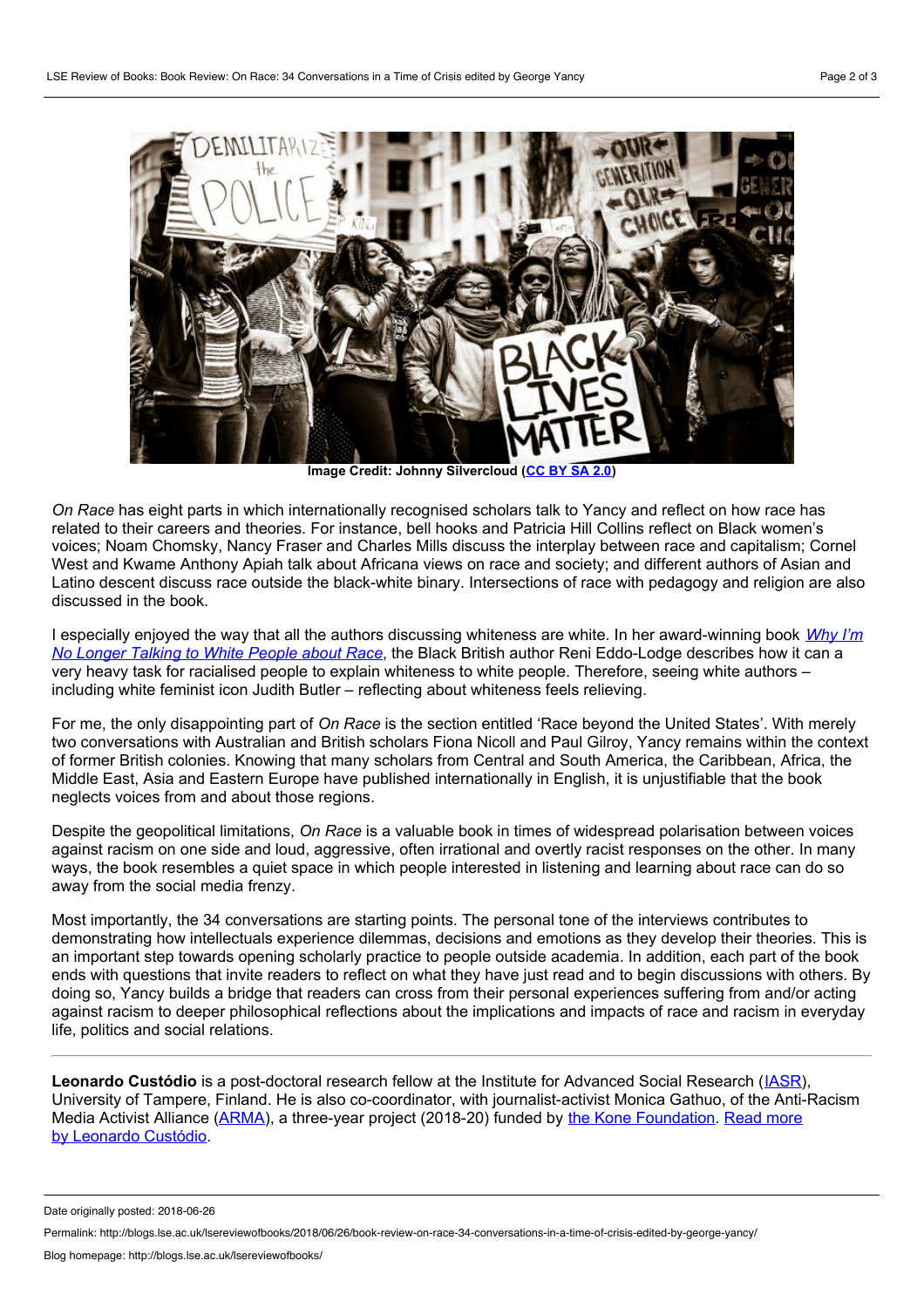

**Image Credit: Johnny Silvercloud (CC BY** 

*On Race* has eight parts in which internationally recognised scholars talk to Yancy and reflect on how race has related to their careers and theories. For instance, bell hooks and Patricia Hill Collins reflect on Black women's voices; Noam Chomsky, Nancy Fraser and Charles Mills discuss the interplay between race and capitalism; Cornel West and Kwame Anthony Apiah talk about Africana views on race and society; and different authors of Asian and Latino descent discuss race outside the black-white binary. Intersections of race with pedagogy and religion are also discussed in the book.

I especially enjoyed the way that all the authors discussing whiteness are white. In her [award-winning](http://blogs.lse.ac.uk/lsereviewofbooks/2018/03/02/book-review-why-im-no-longer-talking-to-white-people-about-race-by-reni-eddo-lodge/) book *Why I'm No Longer Talking to White People about Race*, the Black British author Reni Eddo-Lodge describes how it can a very heavy task for racialised people to explain whiteness to white people. Therefore, seeing white authors – including white feminist icon Judith Butler – reflecting about whiteness feels relieving.

For me, the only disappointing part of *On Race* is the section entitled 'Race beyond the United States'. With merely two conversations with Australian and British scholars Fiona Nicoll and Paul Gilroy, Yancy remains within the context of former British colonies. Knowing that many scholars from Central and South America, the Caribbean, Africa, the Middle East, Asia and Eastern Europe have published internationally in English, it is unjustifiable that the book neglects voices from and about those regions.

Despite the geopolitical limitations, *On Race* is a valuable book in times of widespread polarisation between voices against racism on one side and loud, aggressive, often irrational and overtly racist responses on the other. In many ways, the book resembles a quiet space in which people interested in listening and learning about race can do so away from the social media frenzy.

Most importantly, the 34 conversations are starting points. The personal tone of the interviews contributes to demonstrating how intellectuals experience dilemmas, decisions and emotions as they develop their theories. This is an important step towards opening scholarly practice to people outside academia. In addition, each partof the book ends with questions that invite readers to reflect on what they have just read and to begin discussions with others. By doing so, Yancy builds a bridge that readers can cross from their personal experiences suffering from and/or acting against racism to deeper philosophical reflections about the implications and impacts of race and racism in everyday life, politics and social relations.

**Leonardo Custódio** is a post-doctoral research fellow at the Institute for Advanced Social Research ([IASR](http://www.uta.fi/iasr/)), University of Tampere, Finland. He is also co-coordinator, with journalist-activist Monica Gathuo, of the Anti-Racism Media Activist Alliance [\(ARMA\)](http://www.leocustodio.com/site/?p=752), a three-year project (2018-20) funded by the Kone [Foundation](https://koneensaatio.fi/en/kone-foundation-awards-29-million-euros-to-bold-initiatives-in-research-and-art/)[.](http://blogs.lse.ac.uk/lsereviewofbooks/category/book-reviewers/leonardo-custodio/) Read more by Leonardo Custódio.

Date originally posted: 2018-06-26

Permalink: http://blogs.lse.ac.uk/lsereviewofbooks/2018/06/26/book-review-on-race-34-conversations-in-a-time-of-crisis-edited-by-george-yancy/